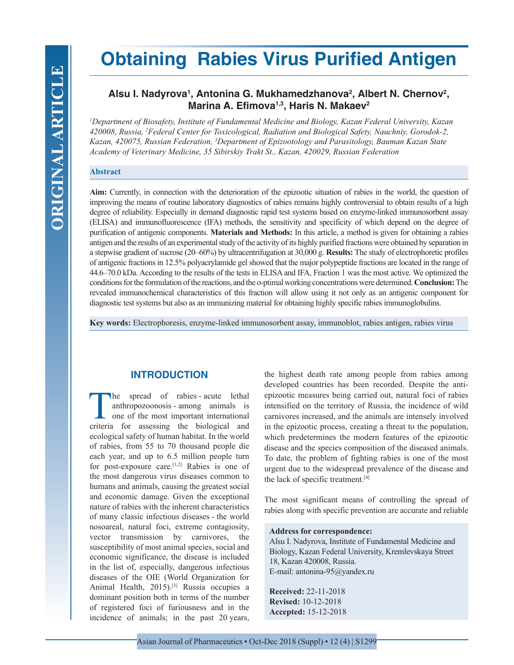# **Obtaining Rabies Virus Purified Antigen**

# Alsu I. Nadyrova<sup>1</sup>, Antonina G. Mukhamedzhanova<sup>2</sup>, Albert N. Chernov<sup>2</sup>, **Marina A. Efimova1,3, Haris N. Makaev2**

*1 Department of Biosafety, Institute of Fundamental Medicine and Biology, Kazan Federal University, Kazan 420008, Russia, 2 Federal Center for Toxicological, Radiation and Biological Safety, Nauchniy, Gorodok-2, Kazan, 420075, Russian Federation, 3 Department of Epizootology and Parasitology, Bauman Kazan State Academy of Veterinary Medicine, 35 Sibirskiy Trakt St., Kazan, 420029, Russian Federation*

#### **Abstract**

**Aim:** Currently, in connection with the deterioration of the epizootic situation of rabies in the world, the question of improving the means of routine laboratory diagnostics of rabies remains highly controversial to obtain results of a high degree of reliability. Especially in demand diagnostic rapid test systems based on enzyme-linked immunosorbent assay (ELISA) and immunofluorescence (IFA) methods, the sensitivity and specificity of which depend on the degree of purification of antigenic components. **Materials and Methods:** In this article, a method is given for obtaining a rabies antigen and the results of an experimental study of the activity of its highly purified fractions were obtained by separation in a stepwise gradient of sucrose (20–60%) by ultracentrifugation at 30,000 g. **Results:** The study of electrophoretic profiles of antigenic fractions in 12.5% polyacrylamide gel showed that the major polypeptide fractions are located in the range of 44.6–70.0 kDa. According to the results of the tests in ELISA and IFA, Fraction 1 was the most active. We optimized the conditions for the formulation of the reactions, and the o-ptimal working concentrations were determined. **Conclusion:** The revealed immunochemical characteristics of this fraction will allow using it not only as an antigenic component for diagnostic test systems but also as an immunizing material for obtaining highly specific rabies immunoglobulins.

**Key words:** Electrophoresis, enzyme-linked immunosorbent assay, immunoblot, rabies antigen, rabies virus

# **INTRODUCTION**

The spread of rabies - acute lethal<br>anthropozoonosis - among animals is<br>one of the most important international<br>criteria for assessing the biological and anthropozoonosis - among animals is one of the most important international criteria for assessing the biological and ecological safety of human habitat. In the world of rabies, from 55 to 70 thousand people die each year, and up to 6.5 million people turn for post-exposure care.[1,2] Rabies is one of the most dangerous virus diseases common to humans and animals, causing the greatest social and economic damage. Given the exceptional nature of rabies with the inherent characteristics of many classic infectious diseases - the world nosoareal, natural foci, extreme contagiosity, vector transmission by carnivores, the susceptibility of most animal species, social and economic significance, the disease is included in the list of, especially, dangerous infectious diseases of the OIE (World Organization for Animal Health, 2015).<sup>[3]</sup> Russia occupies a dominant position both in terms of the number of registered foci of furiousness and in the incidence of animals; in the past 20 years,

the highest death rate among people from rabies among developed countries has been recorded. Despite the antiepizootic measures being carried out, natural foci of rabies intensified on the territory of Russia, the incidence of wild carnivores increased, and the animals are intensely involved in the epizootic process, creating a threat to the population, which predetermines the modern features of the epizootic disease and the species composition of the diseased animals. To date, the problem of fighting rabies is one of the most urgent due to the widespread prevalence of the disease and the lack of specific treatment.[4]

The most significant means of controlling the spread of rabies along with specific prevention are accurate and reliable

#### **Address for correspondence:**

Alsu I. Nadyrova, Institute of Fundamental Medicine and Biology, Kazan Federal University, Kremlevskaya Street 18, Kazan 420008, Russia. E-mail: antonina-95@yandex.ru

**Received:** 22-11-2018 **Revised:** 10-12-2018 **Accepted:** 15-12-2018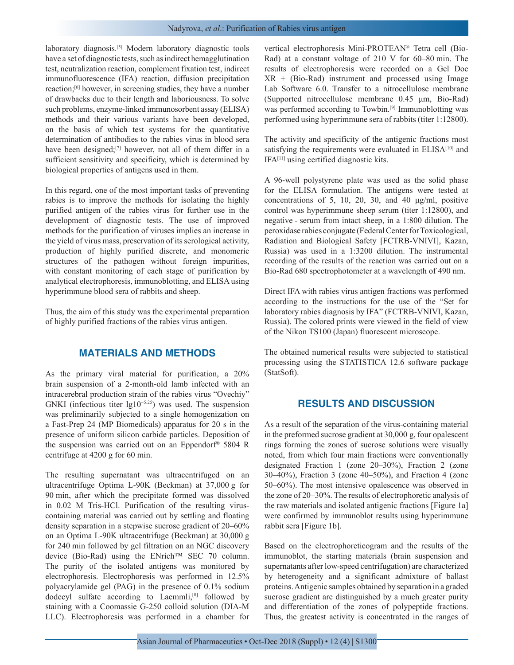laboratory diagnosis.[5] Modern laboratory diagnostic tools have a set of diagnostic tests, such as indirect hemagglutination test, neutralization reaction, complement fixation test, indirect immunofluorescence (IFA) reaction, diffusion precipitation reaction;[6] however, in screening studies, they have a number of drawbacks due to their length and laboriousness. To solve such problems, enzyme-linked immunosorbent assay (ELISA) methods and their various variants have been developed, on the basis of which test systems for the quantitative determination of antibodies to the rabies virus in blood sera have been designed;<sup>[7]</sup> however, not all of them differ in a sufficient sensitivity and specificity, which is determined by biological properties of antigens used in them.

In this regard, one of the most important tasks of preventing rabies is to improve the methods for isolating the highly purified antigen of the rabies virus for further use in the development of diagnostic tests. The use of improved methods for the purification of viruses implies an increase in the yield of virus mass, preservation of its serological activity, production of highly purified discrete, and monomeric structures of the pathogen without foreign impurities, with constant monitoring of each stage of purification by analytical electrophoresis, immunoblotting, and ELISA using hyperimmune blood sera of rabbits and sheep.

Thus, the aim of this study was the experimental preparation of highly purified fractions of the rabies virus antigen.

## **MATERIALS AND METHODS**

As the primary viral material for purification, a 20% brain suspension of a 2-month-old lamb infected with an intracerebral production strain of the rabies virus "Ovechiy" GNKI (infectious titer lg10−5.25) was used. The suspension was preliminarily subjected to a single homogenization on a Fast-Prep 24 (MP Biomedicals) apparatus for 20 s in the presence of uniform silicon carbide particles. Deposition of the suspension was carried out on an Eppendorf® 5804 R centrifuge at 4200 g for 60 min.

The resulting supernatant was ultracentrifuged on an ultracentrifuge Optima L-90K (Beckman) at 37,000 g for 90 min, after which the precipitate formed was dissolved in 0.02 M Tris-HCl. Purification of the resulting viruscontaining material was carried out by settling and floating density separation in a stepwise sucrose gradient of 20–60% on an Optima L-90K ultracentrifuge (Beckman) at 30,000 g for 240 min followed by gel filtration on an NGC discovery device (Bio-Rad) using the ENrich™ SEC 70 column. The purity of the isolated antigens was monitored by electrophoresis. Electrophoresis was performed in 12.5% polyacrylamide gel (PAG) in the presence of 0.1% sodium dodecyl sulfate according to Laemmli,<sup>[8]</sup> followed by staining with a Coomassie G-250 colloid solution (DIA-M LLC). Electrophoresis was performed in a chamber for vertical electrophoresis Mini-PROTEAN® Tetra cell (Bio-Rad) at a constant voltage of 210 V for 60–80 min. The results of electrophoresis were recorded on a Gel Doc XR + (Bio-Rad) instrument and processed using Image Lab Software 6.0. Transfer to a nitrocellulose membrane (Supported nitrocellulose membrane 0.45 μm, Bio-Rad) was performed according to Towbin.<sup>[9]</sup> Immunoblotting was performed using hyperimmune sera of rabbits (titer 1:12800).

The activity and specificity of the antigenic fractions most satisfying the requirements were evaluated in ELISA<sup>[10]</sup> and IFA[11] using certified diagnostic kits.

A 96-well polystyrene plate was used as the solid phase for the ELISA formulation. The antigens were tested at concentrations of 5, 10, 20, 30, and 40 μg/ml, positive control was hyperimmune sheep serum (titer 1:12800), and negative - serum from intact sheep, in a 1:800 dilution. The peroxidase rabies conjugate (Federal Center for Toxicological, Radiation and Biological Safety [FCTRB-VNIVI], Kazan, Russia) was used in a 1:3200 dilution. The instrumental recording of the results of the reaction was carried out on a Bio-Rad 680 spectrophotometer at a wavelength of 490 nm.

Direct IFA with rabies virus antigen fractions was performed according to the instructions for the use of the "Set for laboratory rabies diagnosis by IFA" (FCTRB-VNIVI, Kazan, Russia). The colored prints were viewed in the field of view of the Nikon TS100 (Japan) fluorescent microscope.

The obtained numerical results were subjected to statistical processing using the STATISTICA 12.6 software package (StatSoft).

## **RESULTS AND DISCUSSION**

As a result of the separation of the virus-containing material in the preformed sucrose gradient at 30,000 g, four opalescent rings forming the zones of sucrose solutions were visually noted, from which four main fractions were conventionally designated Fraction 1 (zone 20–30%), Fraction 2 (zone 30–40%), Fraction 3 (zone 40–50%), and Fraction 4 (zone 50–60%). The most intensive opalescence was observed in the zone of 20–30%. The results of electrophoretic analysis of the raw materials and isolated antigenic fractions [Figure 1a] were confirmed by immunoblot results using hyperimmune rabbit sera [Figure 1b].

Based on the electrophoreticogram and the results of the immunoblot, the starting materials (brain suspension and supernatants after low-speed centrifugation) are characterized by heterogeneity and a significant admixture of ballast proteins. Antigenic samples obtained by separation in a graded sucrose gradient are distinguished by a much greater purity and differentiation of the zones of polypeptide fractions. Thus, the greatest activity is concentrated in the ranges of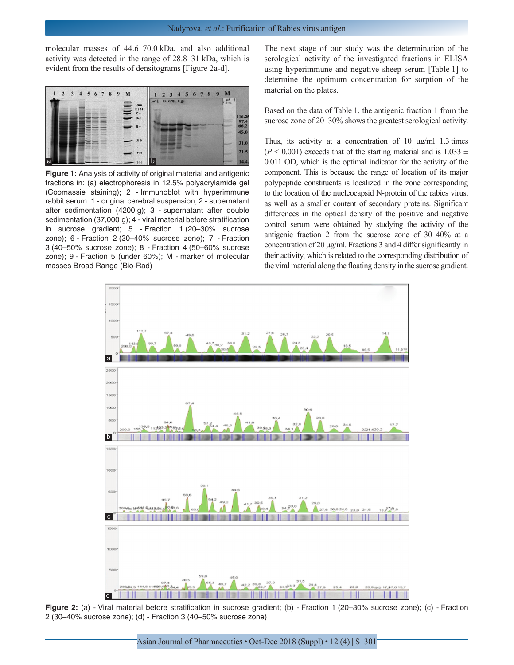molecular masses of 44.6–70.0 kDa, and also additional activity was detected in the range of 28.8–31 kDa, which is evident from the results of densitograms [Figure 2a-d].



**Figure 1:** Analysis of activity of original material and antigenic fractions in: (a) electrophoresis in 12.5% polyacrylamide gel (Coomassie staining); 2 - Immunoblot with hyperimmune rabbit serum: 1 - original cerebral suspension; 2 - supernatant after sedimentation (4200 g); 3 - supernatant after double sedimentation (37,000 g); 4 - viral material before stratification in sucrose gradient; 5 - Fraction 1 (20–30% sucrose zone); 6 - Fraction 2 (30–40% sucrose zone); 7 - Fraction 3 (40–50% sucrose zone); 8 - Fraction 4 (50–60% sucrose zone); 9 - Fraction 5 (under 60%); M - marker of molecular masses Broad Range (Bio-Rad)

The next stage of our study was the determination of the serological activity of the investigated fractions in ELISA using hyperimmune and negative sheep serum [Table 1] to determine the optimum concentration for sorption of the material on the plates.

Based on the data of Table 1, the antigenic fraction 1 from the sucrose zone of 20–30% shows the greatest serological activity.

Thus, its activity at a concentration of 10  $\mu$ g/ml 1.3 times  $(P < 0.001)$  exceeds that of the starting material and is 1.033  $\pm$ 0.011 OD, which is the optimal indicator for the activity of the component. This is because the range of location of its major polypeptide constituents is localized in the zone corresponding to the location of the nucleocapsid N-protein of the rabies virus, as well as a smaller content of secondary proteins. Significant differences in the optical density of the positive and negative control serum were obtained by studying the activity of the antigenic fraction 2 from the sucrose zone of 30–40% at a concentration of 20 μg/ml. Fractions 3 and 4 differ significantly in their activity, which is related to the corresponding distribution of the viral material along the floating density in the sucrose gradient.



**Figure 2:** (a) - Viral material before stratification in sucrose gradient; (b) - Fraction 1 (20–30% sucrose zone); (c) - Fraction 2 (30–40% sucrose zone); (d) - Fraction 3 (40–50% sucrose zone)

Asian Journal of Pharmaceutics • Oct-Dec 2018 (Suppl) • 12 (4) | S1301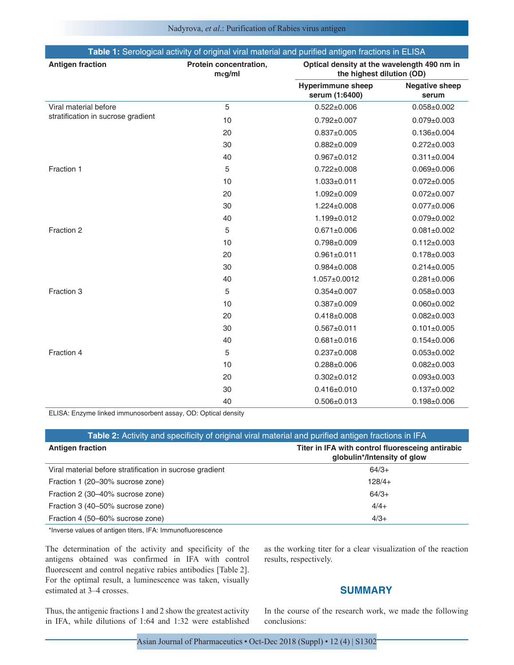| Table 1: Serological activity of original viral material and purified antigen fractions in ELISA |                                  |                                                                          |                                |
|--------------------------------------------------------------------------------------------------|----------------------------------|--------------------------------------------------------------------------|--------------------------------|
| <b>Antigen fraction</b>                                                                          | Protein concentration,<br>mcg/ml | Optical density at the wavelength 490 nm in<br>the highest dilution (OD) |                                |
|                                                                                                  |                                  | <b>Hyperimmune sheep</b><br>serum (1:6400)                               | <b>Negative sheep</b><br>serum |
| Viral material before                                                                            | 5                                | $0.522 + 0.006$                                                          | $0.058 + 0.002$                |
| stratification in sucrose gradient                                                               | 10                               | $0.792 \pm 0.007$                                                        | $0.079 \pm 0.003$              |
|                                                                                                  | 20                               | $0.837 + 0.005$                                                          | $0.136 \pm 0.004$              |
|                                                                                                  | 30                               | $0.882 \pm 0.009$                                                        | $0.272 \pm 0.003$              |
|                                                                                                  | 40                               | $0.967 + 0.012$                                                          | $0.311 \pm 0.004$              |
| Fraction 1                                                                                       | 5                                | $0.722 \pm 0.008$                                                        | $0.069 + 0.006$                |
|                                                                                                  | 10                               | $1.033 + 0.011$                                                          | $0.072 \pm 0.005$              |
|                                                                                                  | 20                               | 1.092±0.009                                                              | $0.072 \pm 0.007$              |
|                                                                                                  | 30                               | $1.224 \pm 0.008$                                                        | $0.077 + 0.006$                |
|                                                                                                  | 40                               | 1.199±0.012                                                              | $0.079 + 0.002$                |
| Fraction 2                                                                                       | 5                                | $0.671 \pm 0.006$                                                        | $0.081 \pm 0.002$              |
|                                                                                                  | 10                               | $0.798 + 0.009$                                                          | $0.112 \pm 0.003$              |
|                                                                                                  | 20                               | $0.961 \pm 0.011$                                                        | $0.178 \pm 0.003$              |
|                                                                                                  | 30                               | $0.984 \pm 0.008$                                                        | $0.214 \pm 0.005$              |
|                                                                                                  | 40                               | 1.057±0.0012                                                             | $0.281 \pm 0.006$              |
| Fraction 3                                                                                       | 5                                | $0.354 \pm 0.007$                                                        | $0.058 + 0.003$                |
|                                                                                                  | 10                               | $0.387 + 0.009$                                                          | $0.060 \pm 0.002$              |
|                                                                                                  | 20                               | $0.418 + 0.008$                                                          | $0.082 \pm 0.003$              |
|                                                                                                  | 30                               | $0.567 + 0.011$                                                          | $0.101 \pm 0.005$              |
|                                                                                                  | 40                               | $0.681 \pm 0.016$                                                        | $0.154 \pm 0.006$              |
| Fraction 4                                                                                       | 5                                | $0.237 + 0.008$                                                          | $0.053 \pm 0.002$              |
|                                                                                                  | 10                               | $0.288 + 0.006$                                                          | $0.082 \pm 0.003$              |
|                                                                                                  | 20                               | $0.302 \pm 0.012$                                                        | $0.093 \pm 0.003$              |
|                                                                                                  | 30                               | $0.416 \pm 0.010$                                                        | $0.137 + 0.002$                |
|                                                                                                  | 40                               | $0.506 \pm 0.013$                                                        | $0.198 + 0.006$                |

ELISA: Enzyme linked immunosorbent assay, OD: Optical density

| Table 2: Activity and specificity of original viral material and purified antigen fractions in IFA |                                                                                 |  |  |
|----------------------------------------------------------------------------------------------------|---------------------------------------------------------------------------------|--|--|
| <b>Antigen fraction</b>                                                                            | Titer in IFA with control fluoresceing antirabic<br>globulin*/Intensity of glow |  |  |
| Viral material before stratification in sucrose gradient                                           | $64/3+$                                                                         |  |  |
| Fraction 1 (20-30% sucrose zone)                                                                   | $128/4+$                                                                        |  |  |
| Fraction 2 (30–40% sucrose zone)                                                                   | $64/3+$                                                                         |  |  |
| Fraction 3 (40–50% sucrose zone)                                                                   | $4/4+$                                                                          |  |  |
| Fraction 4 (50-60% sucrose zone)                                                                   | $4/3+$                                                                          |  |  |

\*Inverse values of antigen titers, IFA: Immunofluorescence

The determination of the activity and specificity of the antigens obtained was confirmed in IFA with control fluorescent and control negative rabies antibodies [Table 2]. For the optimal result, a luminescence was taken, visually estimated at 3–4 crosses.

as the working titer for a clear visualization of the reaction results, respectively.

## **SUMMARY**

Thus, the antigenic fractions 1 and 2 show the greatest activity in IFA, while dilutions of 1:64 and 1:32 were established

In the course of the research work, we made the following conclusions: